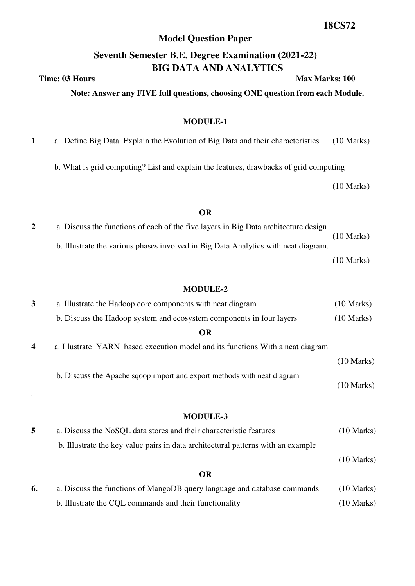## **Model Question Paper**

# **Seventh Semester B.E. Degree Examination (2021-22) BIG DATA AND ANALYTICS**

# **Note: Answer any FIVE full questions, choosing ONE question from each Module.**

### **MODULE-1**

**1** a.Define Big Data. Explain the Evolution of Big Data and their characteristics (10 Marks)

b. What is grid computing? List and explain the features, drawbacks of grid computing

(10 Marks)

### **OR**

**2** a. Discuss the functions of each of the five layers in Big Data architecture design (10 Marks) b. Illustrate the various phases involved in Big Data Analytics with neat diagram. (10 Marks)

#### **MODULE-2**

| 3 | a. Illustrate the Hadoop core components with neat diagram                     | $(10 \text{ Marks})$ |
|---|--------------------------------------------------------------------------------|----------------------|
|   | b. Discuss the Hadoop system and ecosystem components in four layers           | $(10 \text{ Marks})$ |
|   | <b>OR</b>                                                                      |                      |
| 4 | a. Illustrate YARN based execution model and its functions With a neat diagram |                      |
|   |                                                                                | $(10 \text{ Marks})$ |
|   | b. Discuss the Apache sqoop import and export methods with neat diagram        | $(10 \text{ Marks})$ |
|   |                                                                                |                      |

### **MODULE-3**

| a. Discuss the NoSQL data stores and their characteristic features               | $(10 \text{ Marks})$ |
|----------------------------------------------------------------------------------|----------------------|
| b. Illustrate the key value pairs in data architectural patterns with an example |                      |
|                                                                                  | $(10 \text{ Marks})$ |

#### **OR**

| a. Discuss the functions of MangoDB query language and database commands | $(10 \text{ Marks})$ |
|--------------------------------------------------------------------------|----------------------|
| b. Illustrate the CQL commands and their functionality                   | $(10 \text{ Marks})$ |

**Time: 03 Hours** Max Marks: 100